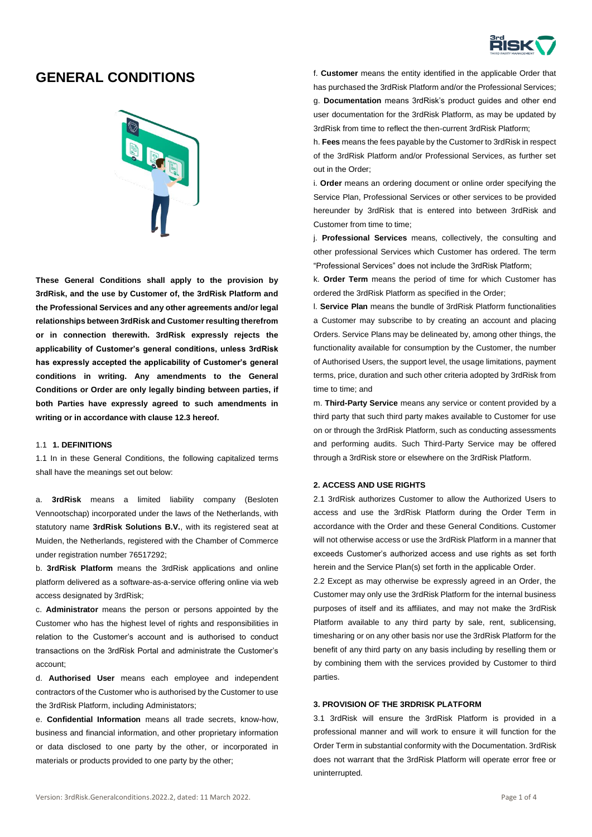

# **GENERAL CONDITIONS**



**These General Conditions shall apply to the provision by 3rdRisk, and the use by Customer of, the 3rdRisk Platform and the Professional Services and any other agreements and/or legal relationships between 3rdRisk and Customer resulting therefrom or in connection therewith. 3rdRisk expressly rejects the applicability of Customer's general conditions, unless 3rdRisk has expressly accepted the applicability of Customer's general conditions in writing. Any amendments to the General Conditions or Order are only legally binding between parties, if both Parties have expressly agreed to such amendments in writing or in accordance with clause 12.3 hereof.** 

### 1.1 **1. DEFINITIONS**

1.1 In in these General Conditions, the following capitalized terms shall have the meanings set out below:

a. **3rdRisk** means a limited liability company (Besloten Vennootschap) incorporated under the laws of the Netherlands, with statutory name **3rdRisk Solutions B.V.**, with its registered seat at Muiden, the Netherlands, registered with the Chamber of Commerce under registration number 76517292;

b. **3rdRisk Platform** means the 3rdRisk applications and online platform delivered as a software-as-a-service offering online via web access designated by 3rdRisk;

c. **Administrator** means the person or persons appointed by the Customer who has the highest level of rights and responsibilities in relation to the Customer's account and is authorised to conduct transactions on the 3rdRisk Portal and administrate the Customer's account;

d. **Authorised User** means each employee and independent contractors of the Customer who is authorised by the Customer to use the 3rdRisk Platform, including Administators;

e. **Confidential Information** means all trade secrets, know-how, business and financial information, and other proprietary information or data disclosed to one party by the other, or incorporated in materials or products provided to one party by the other;

f. **Customer** means the entity identified in the applicable Order that has purchased the 3rdRisk Platform and/or the Professional Services; g. **Documentation** means 3rdRisk's product guides and other end user documentation for the 3rdRisk Platform, as may be updated by 3rdRisk from time to reflect the then-current 3rdRisk Platform;

h. **Fees** means the fees payable by the Customer to 3rdRisk in respect of the 3rdRisk Platform and/or Professional Services, as further set out in the Order;

i. **Order** means an ordering document or online order specifying the Service Plan, Professional Services or other services to be provided hereunder by 3rdRisk that is entered into between 3rdRisk and Customer from time to time;

j. **Professional Services** means, collectively, the consulting and other professional Services which Customer has ordered. The term "Professional Services" does not include the 3rdRisk Platform;

k. **Order Term** means the period of time for which Customer has ordered the 3rdRisk Platform as specified in the Order;

l. **Service Plan** means the bundle of 3rdRisk Platform functionalities a Customer may subscribe to by creating an account and placing Orders. Service Plans may be delineated by, among other things, the functionality available for consumption by the Customer, the number of Authorised Users, the support level, the usage limitations, payment terms, price, duration and such other criteria adopted by 3rdRisk from time to time; and

m. **Third-Party Service** means any service or content provided by a third party that such third party makes available to Customer for use on or through the 3rdRisk Platform, such as conducting assessments and performing audits. Such Third-Party Service may be offered through a 3rdRisk store or elsewhere on the 3rdRisk Platform.

#### **2. ACCESS AND USE RIGHTS**

2.1 3rdRisk authorizes Customer to allow the Authorized Users to access and use the 3rdRisk Platform during the Order Term in accordance with the Order and these General Conditions. Customer will not otherwise access or use the 3rdRisk Platform in a manner that exceeds Customer's authorized access and use rights as set forth herein and the Service Plan(s) set forth in the applicable Order.

2.2 Except as may otherwise be expressly agreed in an Order, the Customer may only use the 3rdRisk Platform for the internal business purposes of itself and its affiliates, and may not make the 3rdRisk Platform available to any third party by sale, rent, sublicensing, timesharing or on any other basis nor use the 3rdRisk Platform for the benefit of any third party on any basis including by reselling them or by combining them with the services provided by Customer to third parties.

# **3. PROVISION OF THE 3RDRISK PLATFORM**

3.1 3rdRisk will ensure the 3rdRisk Platform is provided in a professional manner and will work to ensure it will function for the Order Term in substantial conformity with the Documentation. 3rdRisk does not warrant that the 3rdRisk Platform will operate error free or uninterrupted.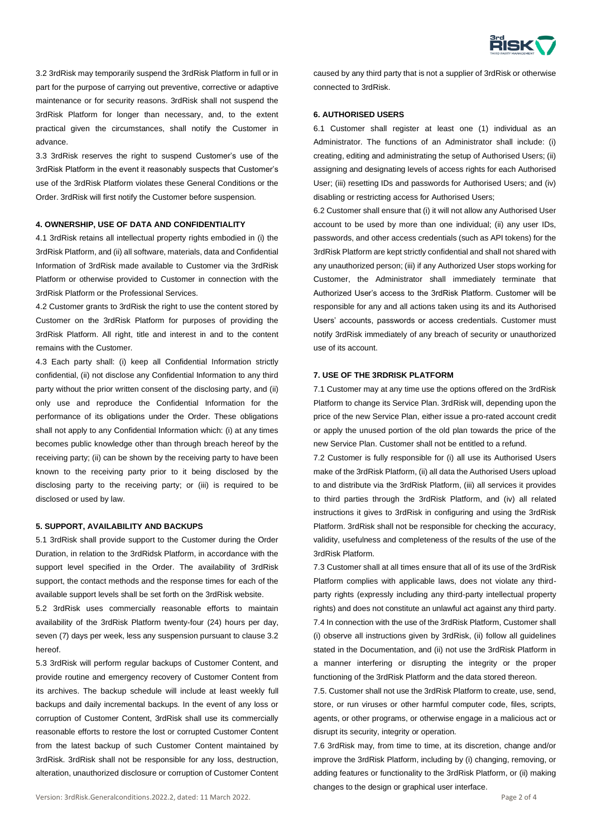

3.2 3rdRisk may temporarily suspend the 3rdRisk Platform in full or in part for the purpose of carrying out preventive, corrective or adaptive maintenance or for security reasons. 3rdRisk shall not suspend the 3rdRisk Platform for longer than necessary, and, to the extent practical given the circumstances, shall notify the Customer in advance.

3.3 3rdRisk reserves the right to suspend Customer's use of the 3rdRisk Platform in the event it reasonably suspects that Customer's use of the 3rdRisk Platform violates these General Conditions or the Order. 3rdRisk will first notify the Customer before suspension.

## **4. OWNERSHIP, USE OF DATA AND CONFIDENTIALITY**

4.1 3rdRisk retains all intellectual property rights embodied in (i) the 3rdRisk Platform, and (ii) all software, materials, data and Confidential Information of 3rdRisk made available to Customer via the 3rdRisk Platform or otherwise provided to Customer in connection with the 3rdRisk Platform or the Professional Services.

4.2 Customer grants to 3rdRisk the right to use the content stored by Customer on the 3rdRisk Platform for purposes of providing the 3rdRisk Platform. All right, title and interest in and to the content remains with the Customer.

4.3 Each party shall: (i) keep all Confidential Information strictly confidential, (ii) not disclose any Confidential Information to any third party without the prior written consent of the disclosing party, and (ii) only use and reproduce the Confidential Information for the performance of its obligations under the Order. These obligations shall not apply to any Confidential Information which: (i) at any times becomes public knowledge other than through breach hereof by the receiving party; (ii) can be shown by the receiving party to have been known to the receiving party prior to it being disclosed by the disclosing party to the receiving party; or (iii) is required to be disclosed or used by law.

## **5. SUPPORT, AVAILABILITY AND BACKUPS**

5.1 3rdRisk shall provide support to the Customer during the Order Duration, in relation to the 3rdRidsk Platform, in accordance with the support level specified in the Order. The availability of 3rdRisk support, the contact methods and the response times for each of the available support levels shall be set forth on the 3rdRisk website.

5.2 3rdRisk uses commercially reasonable efforts to maintain availability of the 3rdRisk Platform twenty-four (24) hours per day, seven (7) days per week, less any suspension pursuant to clause 3.2 hereof.

5.3 3rdRisk will perform regular backups of Customer Content, and provide routine and emergency recovery of Customer Content from its archives. The backup schedule will include at least weekly full backups and daily incremental backups. In the event of any loss or corruption of Customer Content, 3rdRisk shall use its commercially reasonable efforts to restore the lost or corrupted Customer Content from the latest backup of such Customer Content maintained by 3rdRisk. 3rdRisk shall not be responsible for any loss, destruction, alteration, unauthorized disclosure or corruption of Customer Content

caused by any third party that is not a supplier of 3rdRisk or otherwise connected to 3rdRisk.

# **6. AUTHORISED USERS**

6.1 Customer shall register at least one (1) individual as an Administrator. The functions of an Administrator shall include: (i) creating, editing and administrating the setup of Authorised Users; (ii) assigning and designating levels of access rights for each Authorised User; (iii) resetting IDs and passwords for Authorised Users; and (iv) disabling or restricting access for Authorised Users;

6.2 Customer shall ensure that (i) it will not allow any Authorised User account to be used by more than one individual; (ii) any user IDs, passwords, and other access credentials (such as API tokens) for the 3rdRisk Platform are kept strictly confidential and shall not shared with any unauthorized person; (iii) if any Authorized User stops working for Customer, the Administrator shall immediately terminate that Authorized User's access to the 3rdRisk Platform. Customer will be responsible for any and all actions taken using its and its Authorised Users' accounts, passwords or access credentials. Customer must notify 3rdRisk immediately of any breach of security or unauthorized use of its account.

## **7. USE OF THE 3RDRISK PLATFORM**

7.1 Customer may at any time use the options offered on the 3rdRisk Platform to change its Service Plan. 3rdRisk will, depending upon the price of the new Service Plan, either issue a pro-rated account credit or apply the unused portion of the old plan towards the price of the new Service Plan. Customer shall not be entitled to a refund.

7.2 Customer is fully responsible for (i) all use its Authorised Users make of the 3rdRisk Platform, (ii) all data the Authorised Users upload to and distribute via the 3rdRisk Platform, (iii) all services it provides to third parties through the 3rdRisk Platform, and (iv) all related instructions it gives to 3rdRisk in configuring and using the 3rdRisk Platform. 3rdRisk shall not be responsible for checking the accuracy, validity, usefulness and completeness of the results of the use of the 3rdRisk Platform.

7.3 Customer shall at all times ensure that all of its use of the 3rdRisk Platform complies with applicable laws, does not violate any thirdparty rights (expressly including any third-party intellectual property rights) and does not constitute an unlawful act against any third party. 7.4 In connection with the use of the 3rdRisk Platform, Customer shall (i) observe all instructions given by 3rdRisk, (ii) follow all guidelines stated in the Documentation, and (ii) not use the 3rdRisk Platform in a manner interfering or disrupting the integrity or the proper functioning of the 3rdRisk Platform and the data stored thereon.

7.5. Customer shall not use the 3rdRisk Platform to create, use, send, store, or run viruses or other harmful computer code, files, scripts, agents, or other programs, or otherwise engage in a malicious act or disrupt its security, integrity or operation.

7.6 3rdRisk may, from time to time, at its discretion, change and/or improve the 3rdRisk Platform, including by (i) changing, removing, or adding features or functionality to the 3rdRisk Platform, or (ii) making changes to the design or graphical user interface.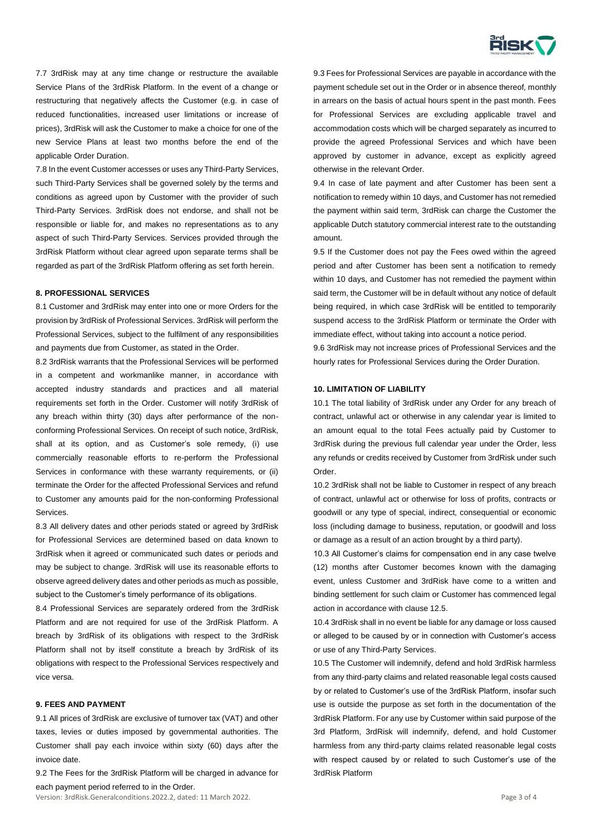

7.7 3rdRisk may at any time change or restructure the available Service Plans of the 3rdRisk Platform. In the event of a change or restructuring that negatively affects the Customer (e.g. in case of reduced functionalities, increased user limitations or increase of prices), 3rdRisk will ask the Customer to make a choice for one of the new Service Plans at least two months before the end of the applicable Order Duration.

7.8 In the event Customer accesses or uses any Third-Party Services, such Third-Party Services shall be governed solely by the terms and conditions as agreed upon by Customer with the provider of such Third-Party Services. 3rdRisk does not endorse, and shall not be responsible or liable for, and makes no representations as to any aspect of such Third-Party Services. Services provided through the 3rdRisk Platform without clear agreed upon separate terms shall be regarded as part of the 3rdRisk Platform offering as set forth herein.

### **8. PROFESSIONAL SERVICES**

8.1 Customer and 3rdRisk may enter into one or more Orders for the provision by 3rdRisk of Professional Services. 3rdRisk will perform the Professional Services, subject to the fulfilment of any responsibilities and payments due from Customer, as stated in the Order.

8.2 3rdRisk warrants that the Professional Services will be performed in a competent and workmanlike manner, in accordance with accepted industry standards and practices and all material requirements set forth in the Order. Customer will notify 3rdRisk of any breach within thirty (30) days after performance of the nonconforming Professional Services. On receipt of such notice, 3rdRisk, shall at its option, and as Customer's sole remedy, (i) use commercially reasonable efforts to re-perform the Professional Services in conformance with these warranty requirements, or (ii) terminate the Order for the affected Professional Services and refund to Customer any amounts paid for the non-conforming Professional Services.

8.3 All delivery dates and other periods stated or agreed by 3rdRisk for Professional Services are determined based on data known to 3rdRisk when it agreed or communicated such dates or periods and may be subject to change. 3rdRisk will use its reasonable efforts to observe agreed delivery dates and other periods as much as possible, subject to the Customer's timely performance of its obligations.

8.4 Professional Services are separately ordered from the 3rdRisk Platform and are not required for use of the 3rdRisk Platform. A breach by 3rdRisk of its obligations with respect to the 3rdRisk Platform shall not by itself constitute a breach by 3rdRisk of its obligations with respect to the Professional Services respectively and vice versa.

# **9. FEES AND PAYMENT**

9.1 All prices of 3rdRisk are exclusive of turnover tax (VAT) and other taxes, levies or duties imposed by governmental authorities. The Customer shall pay each invoice within sixty (60) days after the invoice date.

9.2 The Fees for the 3rdRisk Platform will be charged in advance for each payment period referred to in the Order.

Version: 3rdRisk.Generalconditions.2022.2, dated: 11 March 2022. Page 3 of 4

9.3 Fees for Professional Services are payable in accordance with the payment schedule set out in the Order or in absence thereof, monthly in arrears on the basis of actual hours spent in the past month. Fees for Professional Services are excluding applicable travel and accommodation costs which will be charged separately as incurred to provide the agreed Professional Services and which have been approved by customer in advance, except as explicitly agreed otherwise in the relevant Order.

9.4 In case of late payment and after Customer has been sent a notification to remedy within 10 days, and Customer has not remedied the payment within said term, 3rdRisk can charge the Customer the applicable Dutch statutory commercial interest rate to the outstanding amount.

9.5 If the Customer does not pay the Fees owed within the agreed period and after Customer has been sent a notification to remedy within 10 days, and Customer has not remedied the payment within said term, the Customer will be in default without any notice of default being required, in which case 3rdRisk will be entitled to temporarily suspend access to the 3rdRisk Platform or terminate the Order with immediate effect, without taking into account a notice period.

9.6 3rdRisk may not increase prices of Professional Services and the hourly rates for Professional Services during the Order Duration.

## **10. LIMITATION OF LIABILITY**

10.1 The total liability of 3rdRisk under any Order for any breach of contract, unlawful act or otherwise in any calendar year is limited to an amount equal to the total Fees actually paid by Customer to 3rdRisk during the previous full calendar year under the Order, less any refunds or credits received by Customer from 3rdRisk under such Order.

10.2 3rdRisk shall not be liable to Customer in respect of any breach of contract, unlawful act or otherwise for loss of profits, contracts or goodwill or any type of special, indirect, consequential or economic loss (including damage to business, reputation, or goodwill and loss or damage as a result of an action brought by a third party).

10.3 All Customer's claims for compensation end in any case twelve (12) months after Customer becomes known with the damaging event, unless Customer and 3rdRisk have come to a written and binding settlement for such claim or Customer has commenced legal action in accordance with clause 12.5.

10.4 3rdRisk shall in no event be liable for any damage or loss caused or alleged to be caused by or in connection with Customer's access or use of any Third-Party Services.

10.5 The Customer will indemnify, defend and hold 3rdRisk harmless from any third-party claims and related reasonable legal costs caused by or related to Customer's use of the 3rdRisk Platform, insofar such use is outside the purpose as set forth in the documentation of the 3rdRisk Platform. For any use by Customer within said purpose of the 3rd Platform, 3rdRisk will indemnify, defend, and hold Customer harmless from any third-party claims related reasonable legal costs with respect caused by or related to such Customer's use of the 3rdRisk Platform